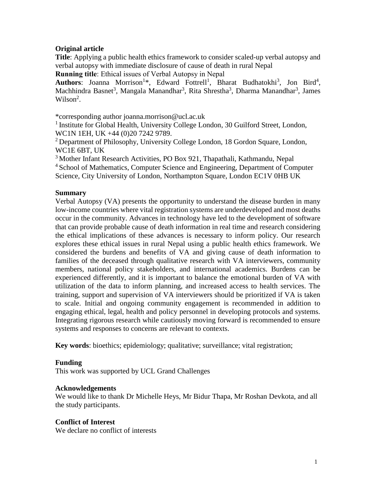## **Original article**

**Title**: Applying a public health ethics framework to consider scaled-up verbal autopsy and verbal autopsy with immediate disclosure of cause of death in rural Nepal

**Running title**: Ethical issues of Verbal Autopsy in Nepal

Authors: Joanna Morrison<sup>1\*</sup>, Edward Fottrell<sup>1</sup>, Bharat Budhatokhi<sup>3</sup>, Jon Bird<sup>4</sup>, Machhindra Basnet<sup>3</sup>, Mangala Manandhar<sup>3</sup>, Rita Shrestha<sup>3</sup>, Dharma Manandhar<sup>3</sup>, James Wilson<sup>2</sup>.

\*corresponding author joanna.morrison@ucl.ac.uk

<sup>1</sup> Institute for Global Health, University College London, 30 Guilford Street, London, WC1N 1EH, UK +44 (0)20 7242 9789.

<sup>2</sup> Department of Philosophy, University College London, 18 Gordon Square, London, WC1E 6BT, UK

<sup>3</sup> Mother Infant Research Activities, PO Box 921, Thapathali, Kathmandu, Nepal <sup>4</sup> School of Mathematics, Computer Science and Engineering, Department of Computer

Science, City University of London, Northampton Square, London EC1V 0HB UK

# **Summary**

Verbal Autopsy (VA) presents the opportunity to understand the disease burden in many low-income countries where vital registration systems are underdeveloped and most deaths occur in the community. Advances in technology have led to the development of software that can provide probable cause of death information in real time and research considering the ethical implications of these advances is necessary to inform policy. Our research explores these ethical issues in rural Nepal using a public health ethics framework. We considered the burdens and benefits of VA and giving cause of death information to families of the deceased through qualitative research with VA interviewers, community members, national policy stakeholders, and international academics. Burdens can be experienced differently, and it is important to balance the emotional burden of VA with utilization of the data to inform planning, and increased access to health services. The training, support and supervision of VA interviewers should be prioritized if VA is taken to scale. Initial and ongoing community engagement is recommended in addition to engaging ethical, legal, health and policy personnel in developing protocols and systems. Integrating rigorous research while cautiously moving forward is recommended to ensure systems and responses to concerns are relevant to contexts.

**Key words**: bioethics; epidemiology; qualitative; surveillance; vital registration;

## **Funding**

This work was supported by UCL Grand Challenges

## **Acknowledgements**

We would like to thank Dr Michelle Heys, Mr Bidur Thapa, Mr Roshan Devkota, and all the study participants.

## **Conflict of Interest**

We declare no conflict of interests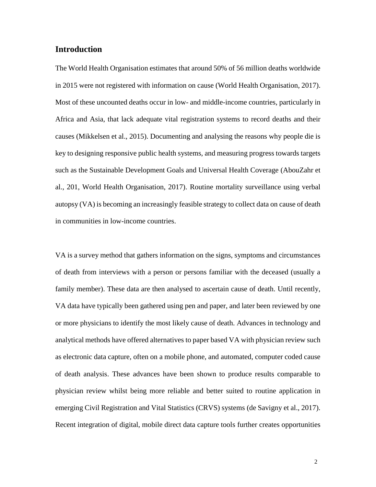# **Introduction**

The World Health Organisation estimates that around 50% of 56 million deaths worldwide in 2015 were not registered with information on cause (World Health Organisation, 2017). Most of these uncounted deaths occur in low- and middle-income countries, particularly in Africa and Asia, that lack adequate vital registration systems to record deaths and their causes (Mikkelsen et al., 2015). Documenting and analysing the reasons why people die is key to designing responsive public health systems, and measuring progress towards targets such as the Sustainable Development Goals and Universal Health Coverage (AbouZahr et al., 201, World Health Organisation, 2017). Routine mortality surveillance using verbal autopsy (VA) is becoming an increasingly feasible strategy to collect data on cause of death in communities in low-income countries.

VA is a survey method that gathers information on the signs, symptoms and circumstances of death from interviews with a person or persons familiar with the deceased (usually a family member). These data are then analysed to ascertain cause of death. Until recently, VA data have typically been gathered using pen and paper, and later been reviewed by one or more physicians to identify the most likely cause of death. Advances in technology and analytical methods have offered alternatives to paper based VA with physician review such as electronic data capture, often on a mobile phone, and automated, computer coded cause of death analysis. These advances have been shown to produce results comparable to physician review whilst being more reliable and better suited to routine application in emerging Civil Registration and Vital Statistics (CRVS) systems (de Savigny et al., 2017). Recent integration of digital, mobile direct data capture tools further creates opportunities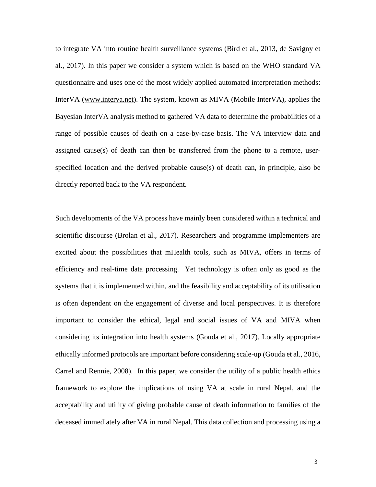to integrate VA into routine health surveillance systems (Bird et al., 2013, de Savigny et al., 2017). In this paper we consider a system which is based on the WHO standard VA questionnaire and uses one of the most widely applied automated interpretation methods: InterVA [\(www.interva.net\)](http://www.interva.net/). The system, known as MIVA (Mobile InterVA), applies the Bayesian InterVA analysis method to gathered VA data to determine the probabilities of a range of possible causes of death on a case-by-case basis. The VA interview data and assigned cause(s) of death can then be transferred from the phone to a remote, userspecified location and the derived probable cause(s) of death can, in principle, also be directly reported back to the VA respondent.

Such developments of the VA process have mainly been considered within a technical and scientific discourse (Brolan et al., 2017). Researchers and programme implementers are excited about the possibilities that mHealth tools, such as MIVA, offers in terms of efficiency and real-time data processing. Yet technology is often only as good as the systems that it is implemented within, and the feasibility and acceptability of its utilisation is often dependent on the engagement of diverse and local perspectives. It is therefore important to consider the ethical, legal and social issues of VA and MIVA when considering its integration into health systems (Gouda et al., 2017). Locally appropriate ethically informed protocols are important before considering scale-up (Gouda et al., 2016, Carrel and Rennie, 2008). In this paper, we consider the utility of a public health ethics framework to explore the implications of using VA at scale in rural Nepal, and the acceptability and utility of giving probable cause of death information to families of the deceased immediately after VA in rural Nepal. This data collection and processing using a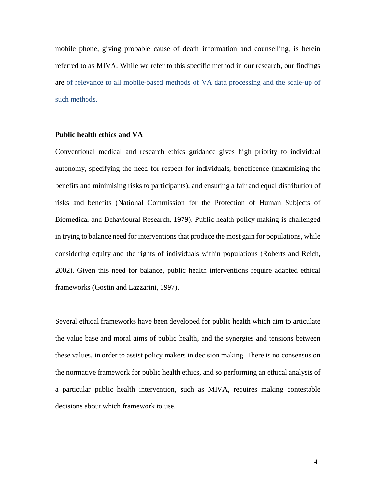mobile phone, giving probable cause of death information and counselling, is herein referred to as MIVA. While we refer to this specific method in our research, our findings are of relevance to all mobile-based methods of VA data processing and the scale-up of such methods.

#### **Public health ethics and VA**

Conventional medical and research ethics guidance gives high priority to individual autonomy, specifying the need for respect for individuals, beneficence (maximising the benefits and minimising risks to participants), and ensuring a fair and equal distribution of risks and benefits (National Commission for the Protection of Human Subjects of Biomedical and Behavioural Research, 1979). Public health policy making is challenged in trying to balance need for interventions that produce the most gain for populations, while considering equity and the rights of individuals within populations (Roberts and Reich, 2002). Given this need for balance, public health interventions require adapted ethical frameworks (Gostin and Lazzarini, 1997).

Several ethical frameworks have been developed for public health which aim to articulate the value base and moral aims of public health, and the synergies and tensions between these values, in order to assist policy makers in decision making. There is no consensus on the normative framework for public health ethics, and so performing an ethical analysis of a particular public health intervention, such as MIVA, requires making contestable decisions about which framework to use.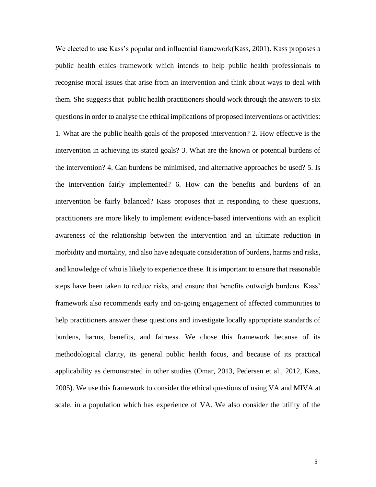We elected to use Kass's popular and influential framework (Kass, 2001). Kass proposes a public health ethics framework which intends to help public health professionals to recognise moral issues that arise from an intervention and think about ways to deal with them. She suggests that public health practitioners should work through the answers to six questions in order to analyse the ethical implications of proposed interventions or activities: 1. What are the public health goals of the proposed intervention? 2. How effective is the intervention in achieving its stated goals? 3. What are the known or potential burdens of the intervention? 4. Can burdens be minimised, and alternative approaches be used? 5. Is the intervention fairly implemented? 6. How can the benefits and burdens of an intervention be fairly balanced? Kass proposes that in responding to these questions, practitioners are more likely to implement evidence-based interventions with an explicit awareness of the relationship between the intervention and an ultimate reduction in morbidity and mortality, and also have adequate consideration of burdens, harms and risks, and knowledge of who is likely to experience these. It is important to ensure that reasonable steps have been taken to reduce risks, and ensure that benefits outweigh burdens. Kass' framework also recommends early and on-going engagement of affected communities to help practitioners answer these questions and investigate locally appropriate standards of burdens, harms, benefits, and fairness. We chose this framework because of its methodological clarity, its general public health focus, and because of its practical applicability as demonstrated in other studies (Omar, 2013, Pedersen et al., 2012, Kass, 2005). We use this framework to consider the ethical questions of using VA and MIVA at scale, in a population which has experience of VA. We also consider the utility of the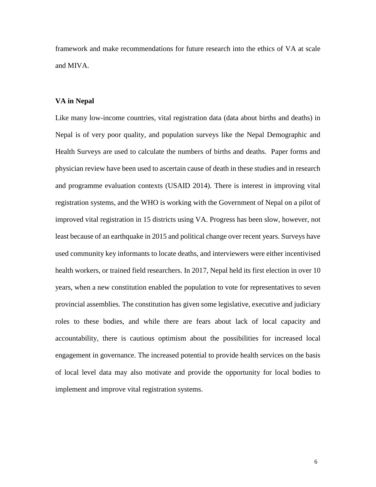framework and make recommendations for future research into the ethics of VA at scale and MIVA.

## **VA in Nepal**

Like many low-income countries, vital registration data (data about births and deaths) in Nepal is of very poor quality, and population surveys like the Nepal Demographic and Health Surveys are used to calculate the numbers of births and deaths. Paper forms and physician review have been used to ascertain cause of death in these studies and in research and programme evaluation contexts (USAID 2014). There is interest in improving vital registration systems, and the WHO is working with the Government of Nepal on a pilot of improved vital registration in 15 districts using VA. Progress has been slow, however, not least because of an earthquake in 2015 and political change over recent years. Surveys have used community key informants to locate deaths, and interviewers were either incentivised health workers, or trained field researchers. In 2017, Nepal held its first election in over 10 years, when a new constitution enabled the population to vote for representatives to seven provincial assemblies. The constitution has given some legislative, executive and judiciary roles to these bodies, and while there are fears about lack of local capacity and accountability, there is cautious optimism about the possibilities for increased local engagement in governance. The increased potential to provide health services on the basis of local level data may also motivate and provide the opportunity for local bodies to implement and improve vital registration systems.

6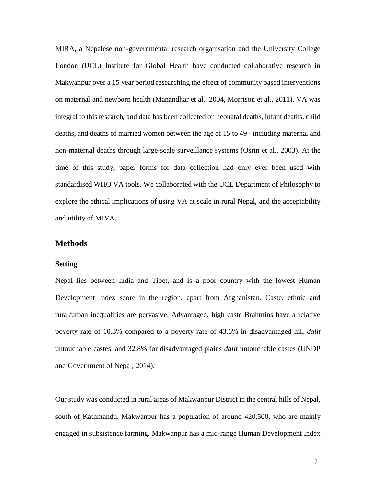MIRA, a Nepalese non-governmental research organisation and the University College London (UCL) Institute for Global Health have conducted collaborative research in Makwanpur over a 15 year period researching the effect of community based interventions on maternal and newborn health (Manandhar et al., 2004, Morrison et al., 2011). VA was integral to this research, and data has been collected on neonatal deaths, infant deaths, child deaths, and deaths of married women between the age of 15 to 49 - including maternal and non-maternal deaths through large-scale surveillance systems (Osrin et al., 2003). At the time of this study, paper forms for data collection had only ever been used with standardised WHO VA tools. We collaborated with the UCL Department of Philosophy to explore the ethical implications of using VA at scale in rural Nepal, and the acceptability and utility of MIVA.

# **Methods**

#### **Setting**

Nepal lies between India and Tibet, and is a poor country with the lowest Human Development Index score in the region, apart from Afghanistan. Caste, ethnic and rural/urban inequalities are pervasive. Advantaged, high caste Brahmins have a relative poverty rate of 10.3% compared to a poverty rate of 43.6% in disadvantaged hill *dalit* untouchable castes, and 32.8% for disadvantaged plains *dalit* untouchable castes (UNDP and Government of Nepal, 2014).

Our study was conducted in rural areas of Makwanpur District in the central hills of Nepal, south of Kathmandu. Makwanpur has a population of around 420,500, who are mainly engaged in subsistence farming. Makwanpur has a mid-range Human Development Index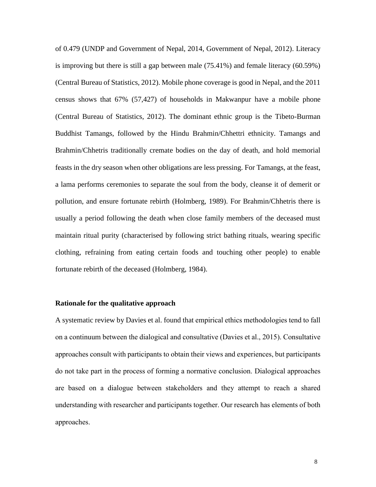of 0.479 (UNDP and Government of Nepal, 2014, Government of Nepal, 2012). Literacy is improving but there is still a gap between male (75.41%) and female literacy (60.59%) (Central Bureau of Statistics, 2012). Mobile phone coverage is good in Nepal, and the 2011 census shows that 67% (57,427) of households in Makwanpur have a mobile phone (Central Bureau of Statistics, 2012). The dominant ethnic group is the Tibeto-Burman Buddhist Tamangs, followed by the Hindu Brahmin/Chhettri ethnicity. Tamangs and Brahmin/Chhetris traditionally cremate bodies on the day of death, and hold memorial feasts in the dry season when other obligations are less pressing. For Tamangs, at the feast, a lama performs ceremonies to separate the soul from the body, cleanse it of demerit or pollution, and ensure fortunate rebirth (Holmberg, 1989). For Brahmin/Chhetris there is usually a period following the death when close family members of the deceased must maintain ritual purity (characterised by following strict bathing rituals, wearing specific clothing, refraining from eating certain foods and touching other people) to enable fortunate rebirth of the deceased (Holmberg, 1984).

### **Rationale for the qualitative approach**

A systematic review by Davies et al. found that empirical ethics methodologies tend to fall on a continuum between the dialogical and consultative (Davies et al., 2015). Consultative approaches consult with participants to obtain their views and experiences, but participants do not take part in the process of forming a normative conclusion. Dialogical approaches are based on a dialogue between stakeholders and they attempt to reach a shared understanding with researcher and participants together. Our research has elements of both approaches.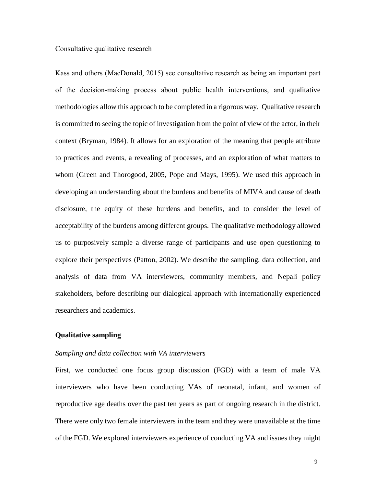## Consultative qualitative research

Kass and others (MacDonald, 2015) see consultative research as being an important part of the decision-making process about public health interventions, and qualitative methodologies allow this approach to be completed in a rigorous way. Qualitative research is committed to seeing the topic of investigation from the point of view of the actor, in their context (Bryman, 1984). It allows for an exploration of the meaning that people attribute to practices and events, a revealing of processes, and an exploration of what matters to whom (Green and Thorogood, 2005, Pope and Mays, 1995). We used this approach in developing an understanding about the burdens and benefits of MIVA and cause of death disclosure, the equity of these burdens and benefits, and to consider the level of acceptability of the burdens among different groups. The qualitative methodology allowed us to purposively sample a diverse range of participants and use open questioning to explore their perspectives (Patton, 2002). We describe the sampling, data collection, and analysis of data from VA interviewers, community members, and Nepali policy stakeholders, before describing our dialogical approach with internationally experienced researchers and academics.

## **Qualitative sampling**

### *Sampling and data collection with VA interviewers*

First, we conducted one focus group discussion (FGD) with a team of male VA interviewers who have been conducting VAs of neonatal, infant, and women of reproductive age deaths over the past ten years as part of ongoing research in the district. There were only two female interviewers in the team and they were unavailable at the time of the FGD. We explored interviewers experience of conducting VA and issues they might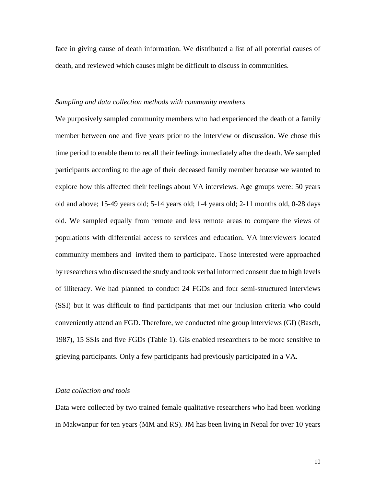face in giving cause of death information. We distributed a list of all potential causes of death, and reviewed which causes might be difficult to discuss in communities.

#### *Sampling and data collection methods with community members*

We purposively sampled community members who had experienced the death of a family member between one and five years prior to the interview or discussion. We chose this time period to enable them to recall their feelings immediately after the death. We sampled participants according to the age of their deceased family member because we wanted to explore how this affected their feelings about VA interviews. Age groups were: 50 years old and above; 15-49 years old; 5-14 years old; 1-4 years old; 2-11 months old, 0-28 days old. We sampled equally from remote and less remote areas to compare the views of populations with differential access to services and education. VA interviewers located community members and invited them to participate. Those interested were approached by researchers who discussed the study and took verbal informed consent due to high levels of illiteracy. We had planned to conduct 24 FGDs and four semi-structured interviews (SSI) but it was difficult to find participants that met our inclusion criteria who could conveniently attend an FGD. Therefore, we conducted nine group interviews (GI) (Basch, 1987), 15 SSIs and five FGDs (Table 1). GIs enabled researchers to be more sensitive to grieving participants. Only a few participants had previously participated in a VA.

## *Data collection and tools*

Data were collected by two trained female qualitative researchers who had been working in Makwanpur for ten years (MM and RS). JM has been living in Nepal for over 10 years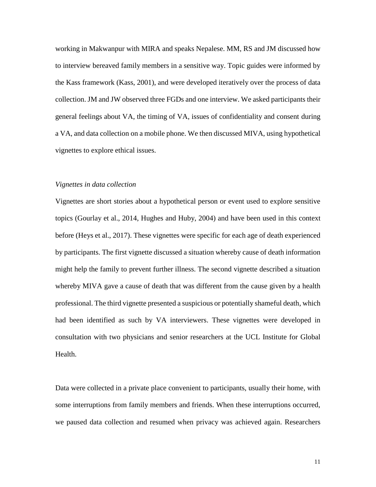working in Makwanpur with MIRA and speaks Nepalese. MM, RS and JM discussed how to interview bereaved family members in a sensitive way. Topic guides were informed by the Kass framework (Kass, 2001), and were developed iteratively over the process of data collection. JM and JW observed three FGDs and one interview. We asked participants their general feelings about VA, the timing of VA, issues of confidentiality and consent during a VA, and data collection on a mobile phone. We then discussed MIVA, using hypothetical vignettes to explore ethical issues.

## *Vignettes in data collection*

Vignettes are short stories about a hypothetical person or event used to explore sensitive topics (Gourlay et al., 2014, Hughes and Huby, 2004) and have been used in this context before (Heys et al., 2017). These vignettes were specific for each age of death experienced by participants. The first vignette discussed a situation whereby cause of death information might help the family to prevent further illness. The second vignette described a situation whereby MIVA gave a cause of death that was different from the cause given by a health professional. The third vignette presented a suspicious or potentially shameful death, which had been identified as such by VA interviewers. These vignettes were developed in consultation with two physicians and senior researchers at the UCL Institute for Global Health.

Data were collected in a private place convenient to participants, usually their home, with some interruptions from family members and friends. When these interruptions occurred, we paused data collection and resumed when privacy was achieved again. Researchers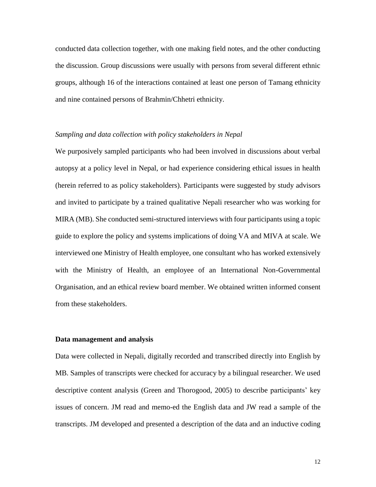conducted data collection together, with one making field notes, and the other conducting the discussion. Group discussions were usually with persons from several different ethnic groups, although 16 of the interactions contained at least one person of Tamang ethnicity and nine contained persons of Brahmin/Chhetri ethnicity.

#### *Sampling and data collection with policy stakeholders in Nepal*

We purposively sampled participants who had been involved in discussions about verbal autopsy at a policy level in Nepal, or had experience considering ethical issues in health (herein referred to as policy stakeholders). Participants were suggested by study advisors and invited to participate by a trained qualitative Nepali researcher who was working for MIRA (MB). She conducted semi-structured interviews with four participants using a topic guide to explore the policy and systems implications of doing VA and MIVA at scale. We interviewed one Ministry of Health employee, one consultant who has worked extensively with the Ministry of Health, an employee of an International Non-Governmental Organisation, and an ethical review board member. We obtained written informed consent from these stakeholders.

#### **Data management and analysis**

Data were collected in Nepali, digitally recorded and transcribed directly into English by MB. Samples of transcripts were checked for accuracy by a bilingual researcher. We used descriptive content analysis (Green and Thorogood, 2005) to describe participants' key issues of concern. JM read and memo-ed the English data and JW read a sample of the transcripts. JM developed and presented a description of the data and an inductive coding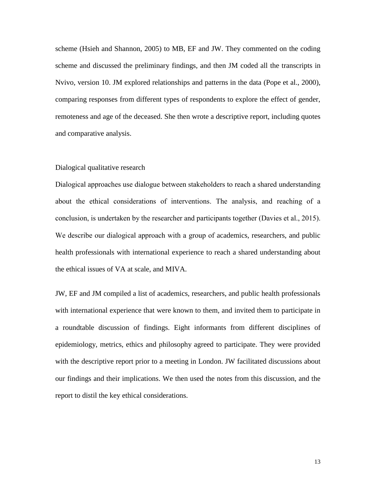scheme (Hsieh and Shannon, 2005) to MB, EF and JW. They commented on the coding scheme and discussed the preliminary findings, and then JM coded all the transcripts in Nvivo, version 10. JM explored relationships and patterns in the data (Pope et al., 2000), comparing responses from different types of respondents to explore the effect of gender, remoteness and age of the deceased. She then wrote a descriptive report, including quotes and comparative analysis.

#### Dialogical qualitative research

Dialogical approaches use dialogue between stakeholders to reach a shared understanding about the ethical considerations of interventions. The analysis, and reaching of a conclusion, is undertaken by the researcher and participants together (Davies et al., 2015). We describe our dialogical approach with a group of academics, researchers, and public health professionals with international experience to reach a shared understanding about the ethical issues of VA at scale, and MIVA.

JW, EF and JM compiled a list of academics, researchers, and public health professionals with international experience that were known to them, and invited them to participate in a roundtable discussion of findings. Eight informants from different disciplines of epidemiology, metrics, ethics and philosophy agreed to participate. They were provided with the descriptive report prior to a meeting in London. JW facilitated discussions about our findings and their implications. We then used the notes from this discussion, and the report to distil the key ethical considerations.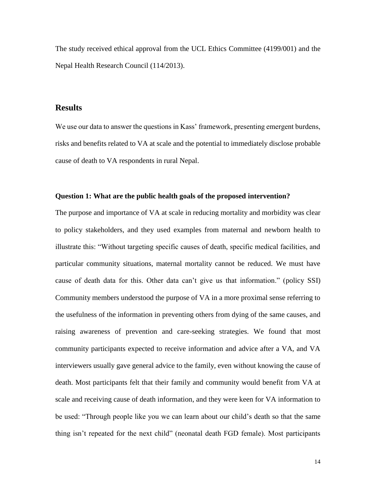The study received ethical approval from the UCL Ethics Committee (4199/001) and the Nepal Health Research Council (114/2013).

## **Results**

We use our data to answer the questions in Kass' framework, presenting emergent burdens, risks and benefits related to VA at scale and the potential to immediately disclose probable cause of death to VA respondents in rural Nepal.

### **Question 1: What are the public health goals of the proposed intervention?**

The purpose and importance of VA at scale in reducing mortality and morbidity was clear to policy stakeholders, and they used examples from maternal and newborn health to illustrate this: "Without targeting specific causes of death, specific medical facilities, and particular community situations, maternal mortality cannot be reduced. We must have cause of death data for this. Other data can't give us that information." (policy SSI) Community members understood the purpose of VA in a more proximal sense referring to the usefulness of the information in preventing others from dying of the same causes, and raising awareness of prevention and care-seeking strategies. We found that most community participants expected to receive information and advice after a VA, and VA interviewers usually gave general advice to the family, even without knowing the cause of death. Most participants felt that their family and community would benefit from VA at scale and receiving cause of death information, and they were keen for VA information to be used: "Through people like you we can learn about our child's death so that the same thing isn't repeated for the next child" (neonatal death FGD female). Most participants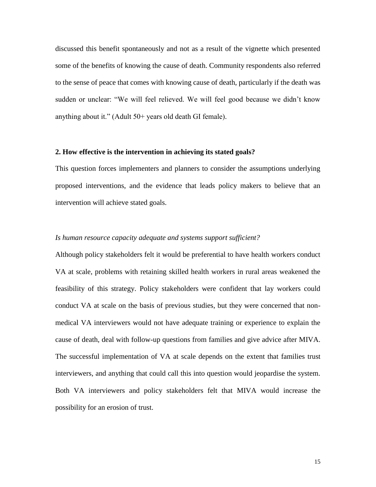discussed this benefit spontaneously and not as a result of the vignette which presented some of the benefits of knowing the cause of death. Community respondents also referred to the sense of peace that comes with knowing cause of death, particularly if the death was sudden or unclear: "We will feel relieved. We will feel good because we didn't know anything about it." (Adult 50+ years old death GI female).

#### **2. How effective is the intervention in achieving its stated goals?**

This question forces implementers and planners to consider the assumptions underlying proposed interventions, and the evidence that leads policy makers to believe that an intervention will achieve stated goals.

## *Is human resource capacity adequate and systems support sufficient?*

Although policy stakeholders felt it would be preferential to have health workers conduct VA at scale, problems with retaining skilled health workers in rural areas weakened the feasibility of this strategy. Policy stakeholders were confident that lay workers could conduct VA at scale on the basis of previous studies, but they were concerned that nonmedical VA interviewers would not have adequate training or experience to explain the cause of death, deal with follow-up questions from families and give advice after MIVA. The successful implementation of VA at scale depends on the extent that families trust interviewers, and anything that could call this into question would jeopardise the system. Both VA interviewers and policy stakeholders felt that MIVA would increase the possibility for an erosion of trust.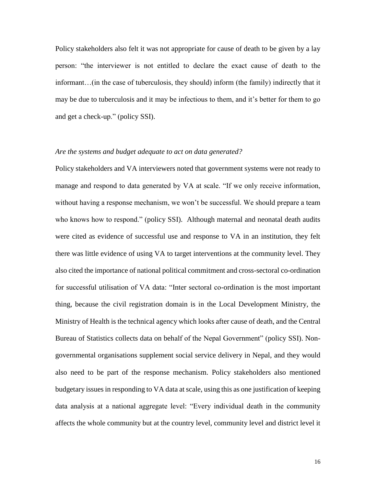Policy stakeholders also felt it was not appropriate for cause of death to be given by a lay person: "the interviewer is not entitled to declare the exact cause of death to the informant…(in the case of tuberculosis, they should) inform (the family) indirectly that it may be due to tuberculosis and it may be infectious to them, and it's better for them to go and get a check-up." (policy SSI).

## *Are the systems and budget adequate to act on data generated?*

Policy stakeholders and VA interviewers noted that government systems were not ready to manage and respond to data generated by VA at scale. "If we only receive information, without having a response mechanism, we won't be successful. We should prepare a team who knows how to respond." (policy SSI). Although maternal and neonatal death audits were cited as evidence of successful use and response to VA in an institution, they felt there was little evidence of using VA to target interventions at the community level. They also cited the importance of national political commitment and cross-sectoral co-ordination for successful utilisation of VA data: "Inter sectoral co-ordination is the most important thing, because the civil registration domain is in the Local Development Ministry, the Ministry of Health is the technical agency which looks after cause of death, and the Central Bureau of Statistics collects data on behalf of the Nepal Government" (policy SSI). Nongovernmental organisations supplement social service delivery in Nepal, and they would also need to be part of the response mechanism. Policy stakeholders also mentioned budgetary issues in responding to VA data at scale, using this as one justification of keeping data analysis at a national aggregate level: "Every individual death in the community affects the whole community but at the country level, community level and district level it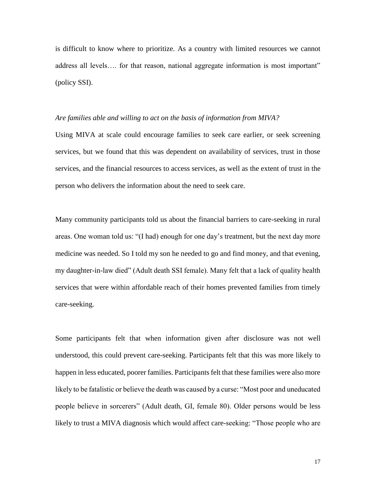is difficult to know where to prioritize. As a country with limited resources we cannot address all levels.... for that reason, national aggregate information is most important" (policy SSI).

#### *Are families able and willing to act on the basis of information from MIVA?*

Using MIVA at scale could encourage families to seek care earlier, or seek screening services, but we found that this was dependent on availability of services, trust in those services, and the financial resources to access services, as well as the extent of trust in the person who delivers the information about the need to seek care.

Many community participants told us about the financial barriers to care-seeking in rural areas. One woman told us: "(I had) enough for one day's treatment, but the next day more medicine was needed. So I told my son he needed to go and find money, and that evening, my daughter-in-law died" (Adult death SSI female). Many felt that a lack of quality health services that were within affordable reach of their homes prevented families from timely care-seeking.

Some participants felt that when information given after disclosure was not well understood, this could prevent care-seeking. Participants felt that this was more likely to happen in less educated, poorer families. Participants felt that these families were also more likely to be fatalistic or believe the death was caused by a curse: "Most poor and uneducated people believe in sorcerers" (Adult death, GI, female 80). Older persons would be less likely to trust a MIVA diagnosis which would affect care-seeking: "Those people who are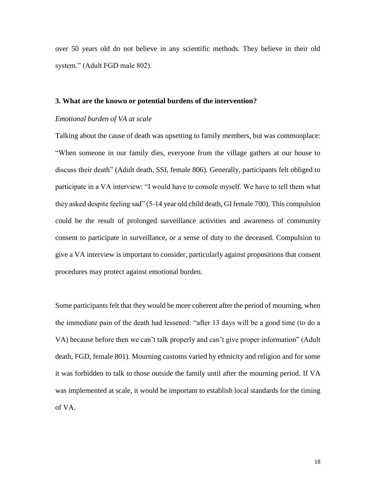over 50 years old do not believe in any scientific methods. They believe in their old system." (Adult FGD male 802).

#### **3. What are the known or potential burdens of the intervention?**

#### *Emotional burden of VA at scale*

Talking about the cause of death was upsetting to family members, but was commonplace: "When someone in our family dies, everyone from the village gathers at our house to discuss their death" (Adult death, SSI, female 806). Generally, participants felt obliged to participate in a VA interview: "I would have to console myself. We have to tell them what they asked despite feeling sad" (5-14 year old child death, GI female 700). This compulsion could be the result of prolonged surveillance activities and awareness of community consent to participate in surveillance, or a sense of duty to the deceased. Compulsion to give a VA interview is important to consider, particularly against propositions that consent procedures may protect against emotional burden.

Some participants felt that they would be more coherent after the period of mourning, when the immediate pain of the death had lessened: "after 13 days will be a good time (to do a VA) because before then we can't talk properly and can't give proper information" (Adult death, FGD, female 801). Mourning customs varied by ethnicity and religion and for some it was forbidden to talk to those outside the family until after the mourning period. If VA was implemented at scale, it would be important to establish local standards for the timing of VA.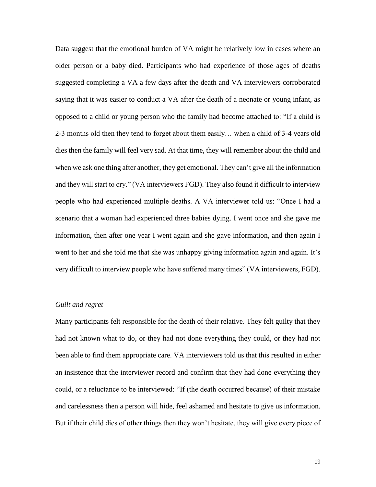Data suggest that the emotional burden of VA might be relatively low in cases where an older person or a baby died. Participants who had experience of those ages of deaths suggested completing a VA a few days after the death and VA interviewers corroborated saying that it was easier to conduct a VA after the death of a neonate or young infant, as opposed to a child or young person who the family had become attached to: "If a child is 2-3 months old then they tend to forget about them easily… when a child of 3-4 years old dies then the family will feel very sad. At that time, they will remember about the child and when we ask one thing after another, they get emotional. They can't give all the information and they will start to cry." (VA interviewers FGD). They also found it difficult to interview people who had experienced multiple deaths. A VA interviewer told us: "Once I had a scenario that a woman had experienced three babies dying. I went once and she gave me information, then after one year I went again and she gave information, and then again I went to her and she told me that she was unhappy giving information again and again. It's very difficult to interview people who have suffered many times" (VA interviewers, FGD).

## *Guilt and regret*

Many participants felt responsible for the death of their relative. They felt guilty that they had not known what to do, or they had not done everything they could, or they had not been able to find them appropriate care. VA interviewers told us that this resulted in either an insistence that the interviewer record and confirm that they had done everything they could, or a reluctance to be interviewed: "If (the death occurred because) of their mistake and carelessness then a person will hide, feel ashamed and hesitate to give us information. But if their child dies of other things then they won't hesitate, they will give every piece of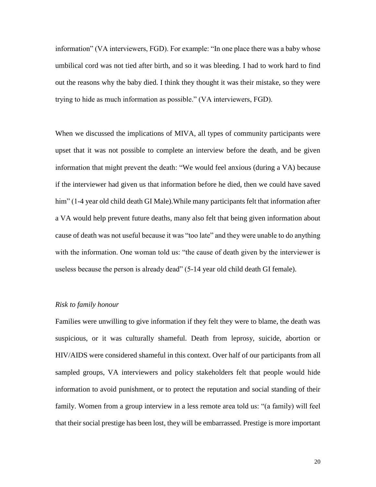information" (VA interviewers, FGD). For example: "In one place there was a baby whose umbilical cord was not tied after birth, and so it was bleeding. I had to work hard to find out the reasons why the baby died. I think they thought it was their mistake, so they were trying to hide as much information as possible." (VA interviewers, FGD).

When we discussed the implications of MIVA, all types of community participants were upset that it was not possible to complete an interview before the death, and be given information that might prevent the death: "We would feel anxious (during a VA) because if the interviewer had given us that information before he died, then we could have saved him" (1-4 year old child death GI Male). While many participants felt that information after a VA would help prevent future deaths, many also felt that being given information about cause of death was not useful because it was "too late" and they were unable to do anything with the information. One woman told us: "the cause of death given by the interviewer is useless because the person is already dead" (5-14 year old child death GI female).

## *Risk to family honour*

Families were unwilling to give information if they felt they were to blame, the death was suspicious, or it was culturally shameful. Death from leprosy, suicide, abortion or HIV/AIDS were considered shameful in this context. Over half of our participants from all sampled groups, VA interviewers and policy stakeholders felt that people would hide information to avoid punishment, or to protect the reputation and social standing of their family. Women from a group interview in a less remote area told us: "(a family) will feel that their social prestige has been lost, they will be embarrassed. Prestige is more important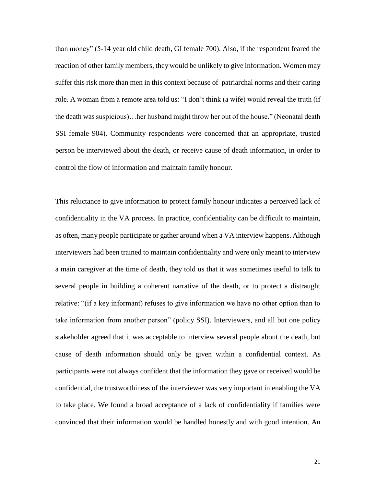than money" (5-14 year old child death, GI female 700). Also, if the respondent feared the reaction of other family members, they would be unlikely to give information. Women may suffer this risk more than men in this context because of patriarchal norms and their caring role. A woman from a remote area told us: "I don't think (a wife) would reveal the truth (if the death was suspicious)…her husband might throw her out of the house." (Neonatal death SSI female 904). Community respondents were concerned that an appropriate, trusted person be interviewed about the death, or receive cause of death information, in order to control the flow of information and maintain family honour.

This reluctance to give information to protect family honour indicates a perceived lack of confidentiality in the VA process. In practice, confidentiality can be difficult to maintain, as often, many people participate or gather around when a VA interview happens. Although interviewers had been trained to maintain confidentiality and were only meant to interview a main caregiver at the time of death, they told us that it was sometimes useful to talk to several people in building a coherent narrative of the death, or to protect a distraught relative: "(if a key informant) refuses to give information we have no other option than to take information from another person" (policy SSI). Interviewers, and all but one policy stakeholder agreed that it was acceptable to interview several people about the death, but cause of death information should only be given within a confidential context. As participants were not always confident that the information they gave or received would be confidential, the trustworthiness of the interviewer was very important in enabling the VA to take place. We found a broad acceptance of a lack of confidentiality if families were convinced that their information would be handled honestly and with good intention. An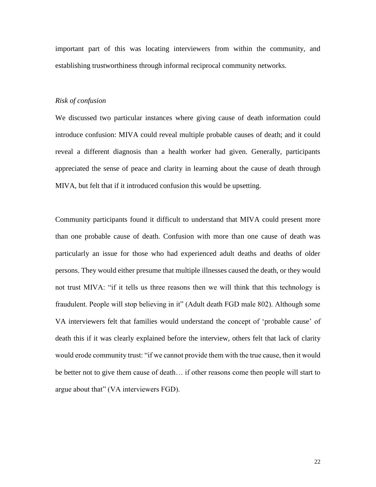important part of this was locating interviewers from within the community, and establishing trustworthiness through informal reciprocal community networks.

#### *Risk of confusion*

We discussed two particular instances where giving cause of death information could introduce confusion: MIVA could reveal multiple probable causes of death; and it could reveal a different diagnosis than a health worker had given. Generally, participants appreciated the sense of peace and clarity in learning about the cause of death through MIVA, but felt that if it introduced confusion this would be upsetting.

Community participants found it difficult to understand that MIVA could present more than one probable cause of death. Confusion with more than one cause of death was particularly an issue for those who had experienced adult deaths and deaths of older persons. They would either presume that multiple illnesses caused the death, or they would not trust MIVA: "if it tells us three reasons then we will think that this technology is fraudulent. People will stop believing in it" (Adult death FGD male 802). Although some VA interviewers felt that families would understand the concept of 'probable cause' of death this if it was clearly explained before the interview, others felt that lack of clarity would erode community trust: "if we cannot provide them with the true cause, then it would be better not to give them cause of death… if other reasons come then people will start to argue about that" (VA interviewers FGD).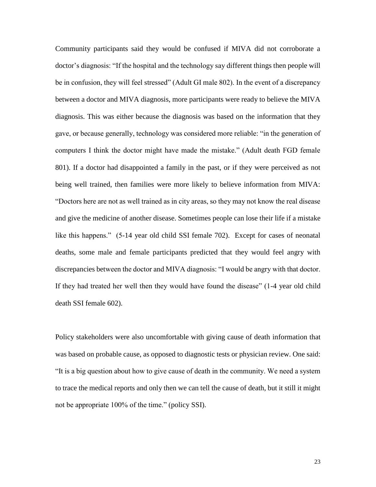Community participants said they would be confused if MIVA did not corroborate a doctor's diagnosis: "If the hospital and the technology say different things then people will be in confusion, they will feel stressed" (Adult GI male 802). In the event of a discrepancy between a doctor and MIVA diagnosis, more participants were ready to believe the MIVA diagnosis. This was either because the diagnosis was based on the information that they gave, or because generally, technology was considered more reliable: "in the generation of computers I think the doctor might have made the mistake." (Adult death FGD female 801). If a doctor had disappointed a family in the past, or if they were perceived as not being well trained, then families were more likely to believe information from MIVA: "Doctors here are not as well trained as in city areas, so they may not know the real disease and give the medicine of another disease. Sometimes people can lose their life if a mistake like this happens." (5-14 year old child SSI female 702). Except for cases of neonatal deaths, some male and female participants predicted that they would feel angry with discrepancies between the doctor and MIVA diagnosis: "I would be angry with that doctor. If they had treated her well then they would have found the disease" (1-4 year old child death SSI female 602).

Policy stakeholders were also uncomfortable with giving cause of death information that was based on probable cause, as opposed to diagnostic tests or physician review. One said: "It is a big question about how to give cause of death in the community. We need a system to trace the medical reports and only then we can tell the cause of death, but it still it might not be appropriate 100% of the time." (policy SSI).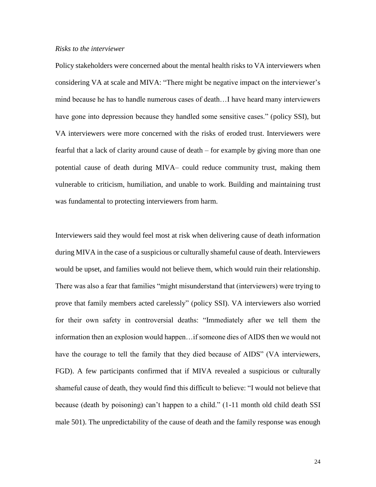### *Risks to the interviewer*

Policy stakeholders were concerned about the mental health risks to VA interviewers when considering VA at scale and MIVA: "There might be negative impact on the interviewer's mind because he has to handle numerous cases of death…I have heard many interviewers have gone into depression because they handled some sensitive cases." (policy SSI), but VA interviewers were more concerned with the risks of eroded trust. Interviewers were fearful that a lack of clarity around cause of death – for example by giving more than one potential cause of death during MIVA– could reduce community trust, making them vulnerable to criticism, humiliation, and unable to work. Building and maintaining trust was fundamental to protecting interviewers from harm.

Interviewers said they would feel most at risk when delivering cause of death information during MIVA in the case of a suspicious or culturally shameful cause of death. Interviewers would be upset, and families would not believe them, which would ruin their relationship. There was also a fear that families "might misunderstand that (interviewers) were trying to prove that family members acted carelessly" (policy SSI). VA interviewers also worried for their own safety in controversial deaths: "Immediately after we tell them the information then an explosion would happen…if someone dies of AIDS then we would not have the courage to tell the family that they died because of AIDS" (VA interviewers, FGD). A few participants confirmed that if MIVA revealed a suspicious or culturally shameful cause of death, they would find this difficult to believe: "I would not believe that because (death by poisoning) can't happen to a child." (1-11 month old child death SSI male 501). The unpredictability of the cause of death and the family response was enough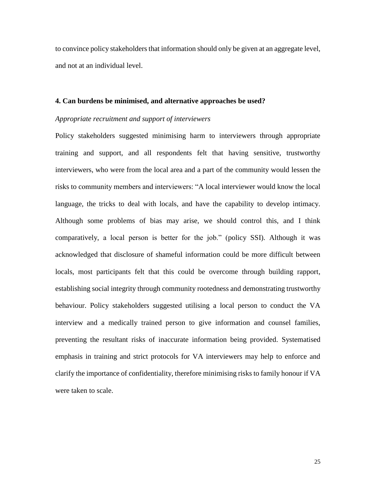to convince policy stakeholders that information should only be given at an aggregate level, and not at an individual level.

#### **4. Can burdens be minimised, and alternative approaches be used?**

#### *Appropriate recruitment and support of interviewers*

Policy stakeholders suggested minimising harm to interviewers through appropriate training and support, and all respondents felt that having sensitive, trustworthy interviewers, who were from the local area and a part of the community would lessen the risks to community members and interviewers: "A local interviewer would know the local language, the tricks to deal with locals, and have the capability to develop intimacy. Although some problems of bias may arise, we should control this, and I think comparatively, a local person is better for the job." (policy SSI). Although it was acknowledged that disclosure of shameful information could be more difficult between locals, most participants felt that this could be overcome through building rapport, establishing social integrity through community rootedness and demonstrating trustworthy behaviour. Policy stakeholders suggested utilising a local person to conduct the VA interview and a medically trained person to give information and counsel families, preventing the resultant risks of inaccurate information being provided. Systematised emphasis in training and strict protocols for VA interviewers may help to enforce and clarify the importance of confidentiality, therefore minimising risks to family honour if VA were taken to scale.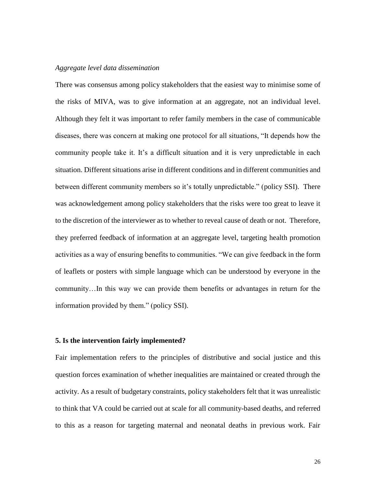## *Aggregate level data dissemination*

There was consensus among policy stakeholders that the easiest way to minimise some of the risks of MIVA, was to give information at an aggregate, not an individual level. Although they felt it was important to refer family members in the case of communicable diseases, there was concern at making one protocol for all situations, "It depends how the community people take it. It's a difficult situation and it is very unpredictable in each situation. Different situations arise in different conditions and in different communities and between different community members so it's totally unpredictable." (policy SSI). There was acknowledgement among policy stakeholders that the risks were too great to leave it to the discretion of the interviewer as to whether to reveal cause of death or not. Therefore, they preferred feedback of information at an aggregate level, targeting health promotion activities as a way of ensuring benefits to communities. "We can give feedback in the form of leaflets or posters with simple language which can be understood by everyone in the community…In this way we can provide them benefits or advantages in return for the information provided by them." (policy SSI).

#### **5. Is the intervention fairly implemented?**

Fair implementation refers to the principles of distributive and social justice and this question forces examination of whether inequalities are maintained or created through the activity. As a result of budgetary constraints, policy stakeholders felt that it was unrealistic to think that VA could be carried out at scale for all community-based deaths, and referred to this as a reason for targeting maternal and neonatal deaths in previous work. Fair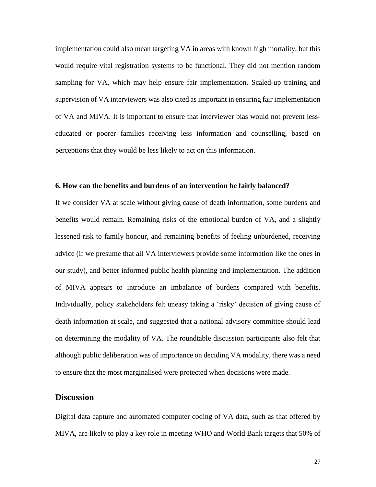implementation could also mean targeting VA in areas with known high mortality, but this would require vital registration systems to be functional. They did not mention random sampling for VA, which may help ensure fair implementation. Scaled-up training and supervision of VA interviewers was also cited as important in ensuring fair implementation of VA and MIVA. It is important to ensure that interviewer bias would not prevent lesseducated or poorer families receiving less information and counselling, based on perceptions that they would be less likely to act on this information.

### **6. How can the benefits and burdens of an intervention be fairly balanced?**

If we consider VA at scale without giving cause of death information, some burdens and benefits would remain. Remaining risks of the emotional burden of VA, and a slightly lessened risk to family honour, and remaining benefits of feeling unburdened, receiving advice (if we presume that all VA interviewers provide some information like the ones in our study), and better informed public health planning and implementation. The addition of MIVA appears to introduce an imbalance of burdens compared with benefits. Individually, policy stakeholders felt uneasy taking a 'risky' decision of giving cause of death information at scale, and suggested that a national advisory committee should lead on determining the modality of VA. The roundtable discussion participants also felt that although public deliberation was of importance on deciding VA modality, there was a need to ensure that the most marginalised were protected when decisions were made.

## **Discussion**

Digital data capture and automated computer coding of VA data, such as that offered by MIVA, are likely to play a key role in meeting WHO and World Bank targets that 50% of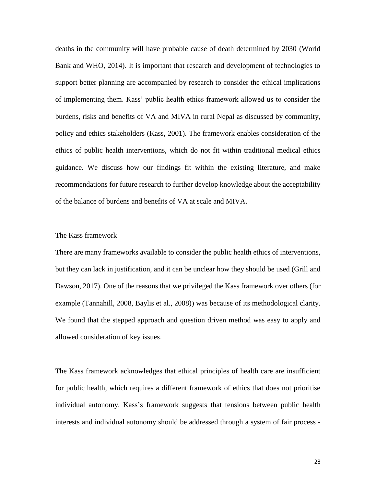deaths in the community will have probable cause of death determined by 2030 (World Bank and WHO, 2014). It is important that research and development of technologies to support better planning are accompanied by research to consider the ethical implications of implementing them. Kass' public health ethics framework allowed us to consider the burdens, risks and benefits of VA and MIVA in rural Nepal as discussed by community, policy and ethics stakeholders (Kass, 2001). The framework enables consideration of the ethics of public health interventions, which do not fit within traditional medical ethics guidance. We discuss how our findings fit within the existing literature, and make recommendations for future research to further develop knowledge about the acceptability of the balance of burdens and benefits of VA at scale and MIVA.

### The Kass framework

There are many frameworks available to consider the public health ethics of interventions, but they can lack in justification, and it can be unclear how they should be used (Grill and Dawson, 2017). One of the reasons that we privileged the Kass framework over others (for example (Tannahill, 2008, Baylis et al., 2008)) was because of its methodological clarity. We found that the stepped approach and question driven method was easy to apply and allowed consideration of key issues.

The Kass framework acknowledges that ethical principles of health care are insufficient for public health, which requires a different framework of ethics that does not prioritise individual autonomy. Kass's framework suggests that tensions between public health interests and individual autonomy should be addressed through a system of fair process -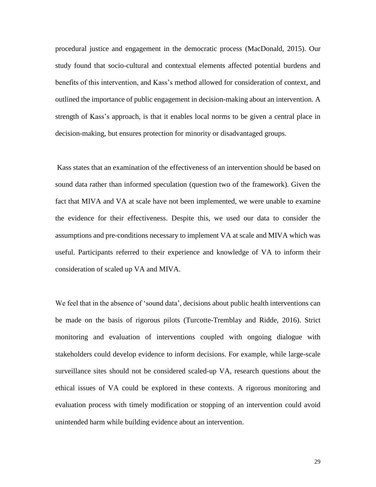procedural justice and engagement in the democratic process (MacDonald, 2015). Our study found that socio-cultural and contextual elements affected potential burdens and benefits of this intervention, and Kass's method allowed for consideration of context, and outlined the importance of public engagement in decision-making about an intervention. A strength of Kass's approach, is that it enables local norms to be given a central place in decision-making, but ensures protection for minority or disadvantaged groups.

Kass states that an examination of the effectiveness of an intervention should be based on sound data rather than informed speculation (question two of the framework). Given the fact that MIVA and VA at scale have not been implemented, we were unable to examine the evidence for their effectiveness. Despite this, we used our data to consider the assumptions and pre-conditions necessary to implement VA at scale and MIVA which was useful. Participants referred to their experience and knowledge of VA to inform their consideration of scaled up VA and MIVA.

We feel that in the absence of 'sound data', decisions about public health interventions can be made on the basis of rigorous pilots (Turcotte-Tremblay and Ridde, 2016). Strict monitoring and evaluation of interventions coupled with ongoing dialogue with stakeholders could develop evidence to inform decisions. For example, while large-scale surveillance sites should not be considered scaled-up VA, research questions about the ethical issues of VA could be explored in these contexts. A rigorous monitoring and evaluation process with timely modification or stopping of an intervention could avoid unintended harm while building evidence about an intervention.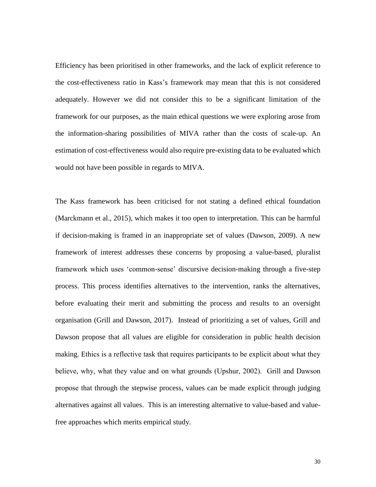Efficiency has been prioritised in other frameworks, and the lack of explicit reference to the cost-effectiveness ratio in Kass's framework may mean that this is not considered adequately. However we did not consider this to be a significant limitation of the framework for our purposes, as the main ethical questions we were exploring arose from the information-sharing possibilities of MIVA rather than the costs of scale-up. An estimation of cost-effectiveness would also require pre-existing data to be evaluated which would not have been possible in regards to MIVA.

The Kass framework has been criticised for not stating a defined ethical foundation (Marckmann et al., 2015), which makes it too open to interpretation. This can be harmful if decision-making is framed in an inappropriate set of values (Dawson, 2009). A new framework of interest addresses these concerns by proposing a value-based, pluralist framework which uses 'common-sense' discursive decision-making through a five-step process. This process identifies alternatives to the intervention, ranks the alternatives, before evaluating their merit and submitting the process and results to an oversight organisation (Grill and Dawson, 2017). Instead of prioritizing a set of values, Grill and Dawson propose that all values are eligible for consideration in public health decision making. Ethics is a reflective task that requires participants to be explicit about what they believe, why, what they value and on what grounds (Upshur, 2002). Grill and Dawson propose that through the stepwise process, values can be made explicit through judging alternatives against all values. This is an interesting alternative to value-based and valuefree approaches which merits empirical study.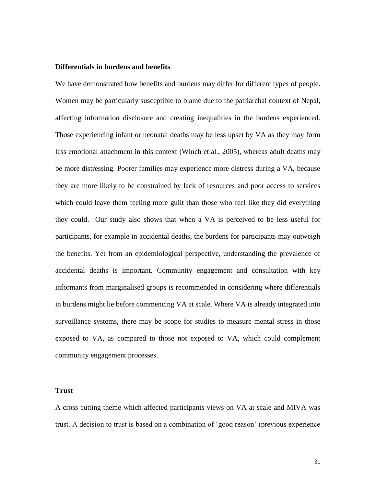#### **Differentials in burdens and benefits**

We have demonstrated how benefits and burdens may differ for different types of people. Women may be particularly susceptible to blame due to the patriarchal context of Nepal, affecting information disclosure and creating inequalities in the burdens experienced. Those experiencing infant or neonatal deaths may be less upset by VA as they may form less emotional attachment in this context (Winch et al., 2005), whereas adult deaths may be more distressing. Poorer families may experience more distress during a VA, because they are more likely to be constrained by lack of resources and poor access to services which could leave them feeling more guilt than those who feel like they did everything they could. Our study also shows that when a VA is perceived to be less useful for participants, for example in accidental deaths, the burdens for participants may outweigh the benefits. Yet from an epidemiological perspective, understanding the prevalence of accidental deaths is important. Community engagement and consultation with key informants from marginalised groups is recommended in considering where differentials in burdens might lie before commencing VA at scale. Where VA is already integrated into surveillance systems, there may be scope for studies to measure mental stress in those exposed to VA, as compared to those not exposed to VA, which could complement community engagement processes.

### **Trust**

A cross cutting theme which affected participants views on VA at scale and MIVA was trust. A decision to trust is based on a combination of 'good reason' (previous experience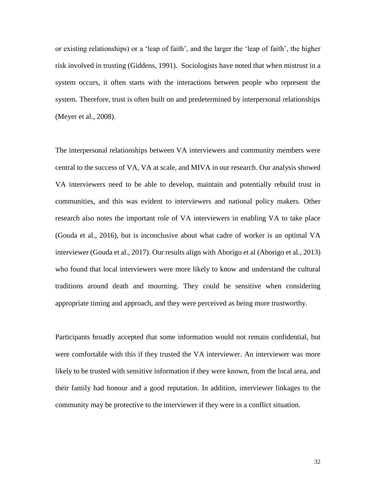or existing relationships) or a 'leap of faith', and the larger the 'leap of faith', the higher risk involved in trusting (Giddens, 1991). Sociologists have noted that when mistrust in a system occurs, it often starts with the interactions between people who represent the system. Therefore, trust is often built on and predetermined by interpersonal relationships (Meyer et al., 2008).

The interpersonal relationships between VA interviewers and community members were central to the success of VA, VA at scale, and MIVA in our research. Our analysis showed VA interviewers need to be able to develop, maintain and potentially rebuild trust in communities, and this was evident to interviewers and national policy makers. Other research also notes the important role of VA interviewers in enabling VA to take place (Gouda et al., 2016), but is inconclusive about what cadre of worker is an optimal VA interviewer (Gouda et al., 2017). Our results align with Aborigo et al (Aborigo et al., 2013) who found that local interviewers were more likely to know and understand the cultural traditions around death and mourning. They could be sensitive when considering appropriate timing and approach, and they were perceived as being more trustworthy.

Participants broadly accepted that some information would not remain confidential, but were comfortable with this if they trusted the VA interviewer. An interviewer was more likely to be trusted with sensitive information if they were known, from the local area, and their family had honour and a good reputation. In addition, interviewer linkages to the community may be protective to the interviewer if they were in a conflict situation.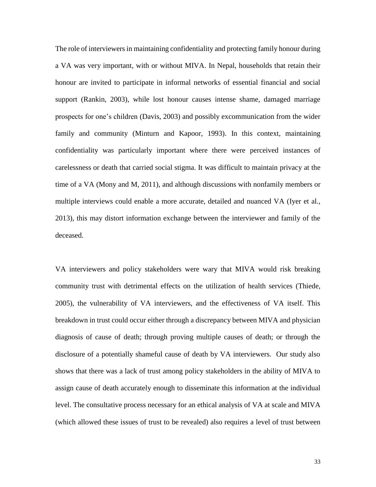The role of interviewers in maintaining confidentiality and protecting family honour during a VA was very important, with or without MIVA. In Nepal, households that retain their honour are invited to participate in informal networks of essential financial and social support (Rankin, 2003), while lost honour causes intense shame, damaged marriage prospects for one's children (Davis, 2003) and possibly excommunication from the wider family and community (Minturn and Kapoor, 1993). In this context, maintaining confidentiality was particularly important where there were perceived instances of carelessness or death that carried social stigma. It was difficult to maintain privacy at the time of a VA (Mony and M, 2011), and although discussions with nonfamily members or multiple interviews could enable a more accurate, detailed and nuanced VA (Iyer et al., 2013), this may distort information exchange between the interviewer and family of the deceased.

VA interviewers and policy stakeholders were wary that MIVA would risk breaking community trust with detrimental effects on the utilization of health services (Thiede, 2005), the vulnerability of VA interviewers, and the effectiveness of VA itself. This breakdown in trust could occur either through a discrepancy between MIVA and physician diagnosis of cause of death; through proving multiple causes of death; or through the disclosure of a potentially shameful cause of death by VA interviewers. Our study also shows that there was a lack of trust among policy stakeholders in the ability of MIVA to assign cause of death accurately enough to disseminate this information at the individual level. The consultative process necessary for an ethical analysis of VA at scale and MIVA (which allowed these issues of trust to be revealed) also requires a level of trust between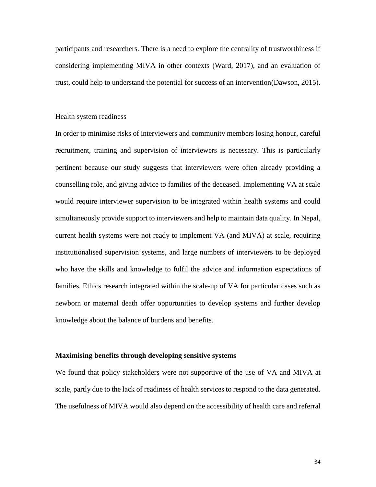participants and researchers. There is a need to explore the centrality of trustworthiness if considering implementing MIVA in other contexts (Ward, 2017), and an evaluation of trust, could help to understand the potential for success of an intervention(Dawson, 2015).

#### Health system readiness

In order to minimise risks of interviewers and community members losing honour, careful recruitment, training and supervision of interviewers is necessary. This is particularly pertinent because our study suggests that interviewers were often already providing a counselling role, and giving advice to families of the deceased. Implementing VA at scale would require interviewer supervision to be integrated within health systems and could simultaneously provide support to interviewers and help to maintain data quality. In Nepal, current health systems were not ready to implement VA (and MIVA) at scale, requiring institutionalised supervision systems, and large numbers of interviewers to be deployed who have the skills and knowledge to fulfil the advice and information expectations of families. Ethics research integrated within the scale-up of VA for particular cases such as newborn or maternal death offer opportunities to develop systems and further develop knowledge about the balance of burdens and benefits.

## **Maximising benefits through developing sensitive systems**

We found that policy stakeholders were not supportive of the use of VA and MIVA at scale, partly due to the lack of readiness of health services to respond to the data generated. The usefulness of MIVA would also depend on the accessibility of health care and referral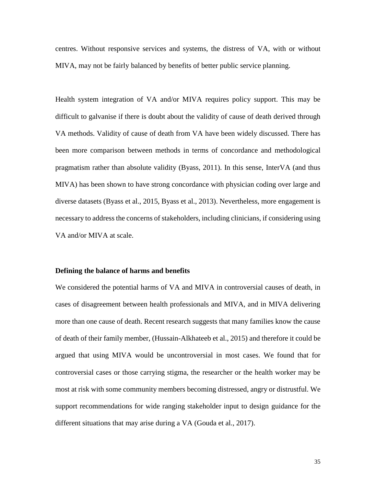centres. Without responsive services and systems, the distress of VA, with or without MIVA, may not be fairly balanced by benefits of better public service planning.

Health system integration of VA and/or MIVA requires policy support. This may be difficult to galvanise if there is doubt about the validity of cause of death derived through VA methods. Validity of cause of death from VA have been widely discussed. There has been more comparison between methods in terms of concordance and methodological pragmatism rather than absolute validity (Byass, 2011). In this sense, InterVA (and thus MIVA) has been shown to have strong concordance with physician coding over large and diverse datasets (Byass et al., 2015, Byass et al., 2013). Nevertheless, more engagement is necessary to address the concerns of stakeholders, including clinicians, if considering using VA and/or MIVA at scale.

#### **Defining the balance of harms and benefits**

We considered the potential harms of VA and MIVA in controversial causes of death, in cases of disagreement between health professionals and MIVA, and in MIVA delivering more than one cause of death. Recent research suggests that many families know the cause of death of their family member, (Hussain-Alkhateeb et al., 2015) and therefore it could be argued that using MIVA would be uncontroversial in most cases. We found that for controversial cases or those carrying stigma, the researcher or the health worker may be most at risk with some community members becoming distressed, angry or distrustful. We support recommendations for wide ranging stakeholder input to design guidance for the different situations that may arise during a VA (Gouda et al., 2017).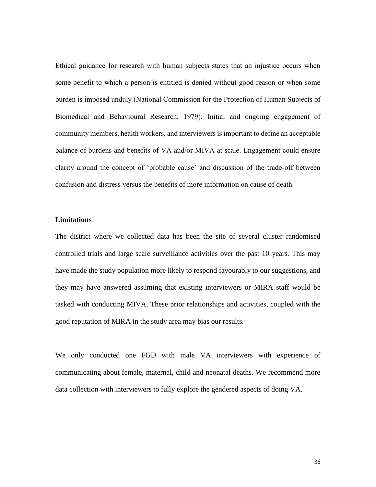Ethical guidance for research with human subjects states that an injustice occurs when some benefit to which a person is entitled is denied without good reason or when some burden is imposed unduly (National Commission for the Protection of Human Subjects of Biomedical and Behavioural Research, 1979). Initial and ongoing engagement of community members, health workers, and interviewers is important to define an acceptable balance of burdens and benefits of VA and/or MIVA at scale. Engagement could ensure clarity around the concept of 'probable cause' and discussion of the trade-off between confusion and distress versus the benefits of more information on cause of death.

## **Limitations**

The district where we collected data has been the site of several cluster randomised controlled trials and large scale surveillance activities over the past 10 years. This may have made the study population more likely to respond favourably to our suggestions, and they may have answered assuming that existing interviewers or MIRA staff would be tasked with conducting MIVA. These prior relationships and activities, coupled with the good reputation of MIRA in the study area may bias our results.

We only conducted one FGD with male VA interviewers with experience of communicating about female, maternal, child and neonatal deaths. We recommend more data collection with interviewers to fully explore the gendered aspects of doing VA.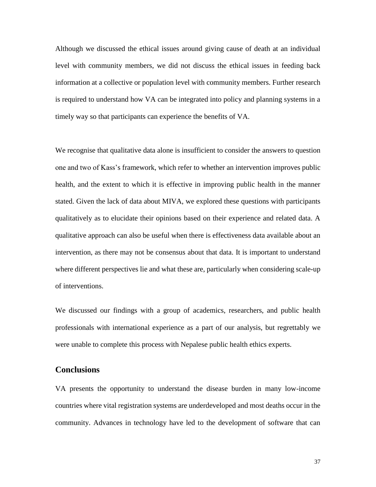Although we discussed the ethical issues around giving cause of death at an individual level with community members, we did not discuss the ethical issues in feeding back information at a collective or population level with community members. Further research is required to understand how VA can be integrated into policy and planning systems in a timely way so that participants can experience the benefits of VA.

We recognise that qualitative data alone is insufficient to consider the answers to question one and two of Kass's framework, which refer to whether an intervention improves public health, and the extent to which it is effective in improving public health in the manner stated. Given the lack of data about MIVA, we explored these questions with participants qualitatively as to elucidate their opinions based on their experience and related data. A qualitative approach can also be useful when there is effectiveness data available about an intervention, as there may not be consensus about that data. It is important to understand where different perspectives lie and what these are, particularly when considering scale-up of interventions.

We discussed our findings with a group of academics, researchers, and public health professionals with international experience as a part of our analysis, but regrettably we were unable to complete this process with Nepalese public health ethics experts.

# **Conclusions**

VA presents the opportunity to understand the disease burden in many low-income countries where vital registration systems are underdeveloped and most deaths occur in the community. Advances in technology have led to the development of software that can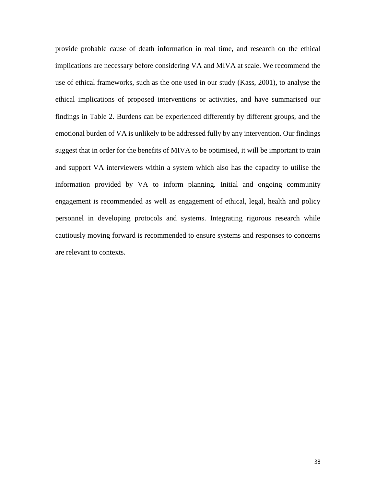provide probable cause of death information in real time, and research on the ethical implications are necessary before considering VA and MIVA at scale. We recommend the use of ethical frameworks, such as the one used in our study (Kass, 2001), to analyse the ethical implications of proposed interventions or activities, and have summarised our findings in Table 2. Burdens can be experienced differently by different groups, and the emotional burden of VA is unlikely to be addressed fully by any intervention. Our findings suggest that in order for the benefits of MIVA to be optimised, it will be important to train and support VA interviewers within a system which also has the capacity to utilise the information provided by VA to inform planning. Initial and ongoing community engagement is recommended as well as engagement of ethical, legal, health and policy personnel in developing protocols and systems. Integrating rigorous research while cautiously moving forward is recommended to ensure systems and responses to concerns are relevant to contexts.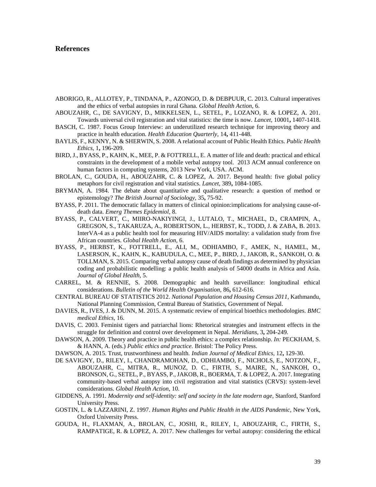#### **References**

- ABORIGO, R., ALLOTEY, P., TINDANA, P., AZONGO, D. & DEBPUUR, C. 2013. Cultural imperatives and the ethics of verbal autopsies in rural Ghana. *Global Health Action,* 6.
- ABOUZAHR, C., DE SAVIGNY, D., MIKKELSEN, L., SETEL, P., LOZANO, R. & LOPEZ, A. 201. Towards universal civil registration and vital statistics: the time is now. *Lancet,* 10001**,** 1407-1418.
- BASCH, C. 1987. Focus Group Interview: an underutilized research technique for improving theory and practice in health education. *Health Education Quarterly,* 14**,** 411-448.
- BAYLIS, F., KENNY, N. & SHERWIN, S. 2008. A relational account of Public Health Ethics. *Public Health Ethics,* 1**,** 196-209.
- BIRD, J., BYASS, P., KAHN, K., MEE, P. & FOTTRELL, E. A matter of life and death: practical and ethical constraints in the development of a mobile verbal autopsy tool. 2013 ACM annual conference on human factors in computing systems, 2013 New York, USA. ACM.
- BROLAN, C., GOUDA, H., ABOUZAHR, C. & LOPEZ, A. 2017. Beyond health: five global policy metaphors for civil registration and vital statistics. *Lancet,* 389**,** 1084-1085.
- BRYMAN, A. 1984. The debate about quantitative and qualitative research: a question of method or epistemology? *The British Journal of Sociology,* 35**,** 75-92.
- BYASS, P. 2011. The democratic fallacy in matters of clinical opinion:implications for analysing cause-ofdeath data. *Emerg Themes Epidemiol,* 8.
- BYASS, P., CALVERT, C., MIIRO-NAKIYINGI, J., LUTALO, T., MICHAEL, D., CRAMPIN, A., GREGSON, S., TAKARUZA, A., ROBERTSON, L., HERBST, K., TODD, J. & ZABA, B. 2013. InterVA-4 as a public health tool for measuring HIV/AIDS mortality: a validation study from five African countries. *Global Health Action,* 6.
- BYASS, P., HERBST, K., FOTTRELL, E., ALI, M., ODHIAMBO, F., AMEK, N., HAMEL, M., LASERSON, K., KAHN, K., KABUDULA, C., MEE, P., BIRD, J., JAKOB, R., SANKOH, O. & TOLLMAN, S. 2015. Comparing verbal autopsy cause of death findings as determined by physician coding and probabilistic modelling: a public health analysis of 54000 deaths in Africa and Asia. *Journal of Global Health,* 5.
- CARREL, M. & RENNIE, S. 2008. Demographic and health surveillance: longitudinal ethical considerations. *Bulletin of the World Health Organisation,* 86**,** 612-616.
- CENTRAL BUREAU OF STATISTICS 2012. *National Population and Housing Census 2011,* Kathmandu, National Planning Commission, Central Bureau of Statistics, Government of Nepal.
- DAVIES, R., IVES, J. & DUNN, M. 2015. A systematic review of empirical bioethics methodologies. *BMC medical Ethics,* 16.
- DAVIS, C. 2003. Feminist tigers and patriarchal lions: Rhetorical strategies and instrument effects in the struggle for definition and control over development in Nepal. *Meridians,* 3**,** 204-249.
- DAWSON, A. 2009. Theory and practice in public health ethics: a complex relationship. *In:* PECKHAM, S. & HANN, A. (eds.) *Public ethics and practice.* Bristol: The Policy Press.
- DAWSON, A. 2015. Trust, trustworthiness and health. *Indian Journal of Medical Ethics,* 12**,** 129-30.
- DE SAVIGNY, D., RILEY, I., CHANDRAMOHAN, D., ODHIAMBO, F., NICHOLS, E., NOTZON, F., ABOUZAHR, C., MITRA, R., MUNOZ, D. C., FIRTH, S., MAIRE, N., SANKOH, O., BRONSON, G., SETEL, P., BYASS, P., JAKOB, R., BOERMA, T. & LOPEZ, A. 2017. Integrating community-based verbal autopsy into civil registration and vital statistics (CRVS): system-level considerations. *Global Health Action,* 10.
- GIDDENS, A. 1991. *Modernity and self-identity: self and society in the late modern age,* Stanford, Stanford University Press.
- GOSTIN, L. & LAZZARINI, Z. 1997. *Human Rights and Public Health in the AIDS Pandemic,* New York, Oxford University Press.
- GOUDA, H., FLAXMAN, A., BROLAN, C., JOSHI, R., RILEY, I., ABOUZAHR, C., FIRTH, S., RAMPATIGE, R. & LOPEZ, A. 2017. New challenges for verbal autopsy: considering the ethical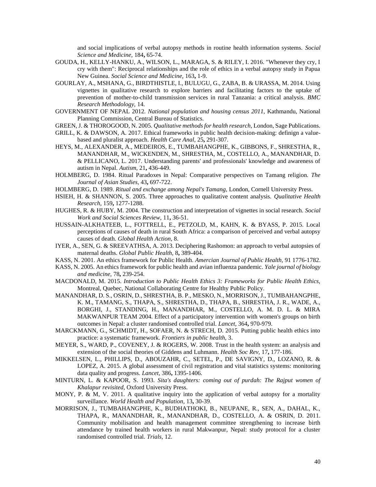and social implications of verbal autopsy methods in routine health information systems. *Social Science and Medicine,* 184**,** 65-74.

- GOUDA, H., KELLY-HANKU, A., WILSON, L., MARAGA, S. & RILEY, I. 2016. "Whenever they cry, I cry with them": Reciprocal relationships and the role of ethics in a verbal autopsy study in Papua New Guinea. *Social Science and Medicine,* 163**,** 1-9.
- GOURLAY, A., MSHANA, G., BIRDTHISTLE, I., BULUGU, G., ZABA, B. & URASSA, M. 2014. Using vignettes in qualitative research to explore barriers and facilitating factors to the uptake of prevention of mother-to-child transmission services in rural Tanzania: a critical analysis. *BMC Research Methodology,* 14.
- GOVERNMENT OF NEPAL 2012. *National population and housing census 2011,* Kathmandu, National Planning Commission, Central Bureau of Statistics.
- GREEN, J. & THOROGOOD, N. 2005. *Qualitative methods for health research,* London, Sage Publications.
- GRILL, K. & DAWSON, A. 2017. Ethical frameworks in public health decision-making: definign a valuebased and pluralist approach. *Health Care Anal,* 25**,** 291-307.
- HEYS, M., ALEXANDER, A., MEDEIROS, E., TUMBAHANGPHE, K., GIBBONS, F., SHRESTHA, R., MANANDHAR, M., WICKENDEN, M., SHRESTHA, M., COSTELLO, A., MANANDHAR, D. & PELLICANO, L. 2017. Understanding parents' and professionals' knowledge and awareness of autism in Nepal. *Autism,* 21**,** 436-449.
- HOLMBERG, D. 1984. Ritual Paradoxes in Nepal: Comparative perspectives on Tamang religion. *The Journal of Asian Studies,* 43**,** 697-722.
- HOLMBERG, D. 1989. *Ritual and exchange among Nepal's Tamang,* London, Cornell University Press.
- HSIEH, H. & SHANNON, S. 2005. Three approaches to qualitative content analysis. *Qualitative Health Research,* 159**,** 1277-1288.
- HUGHES, R. & HUBY, M. 2004. The construction and interpretation of vignettes in social research. *Social Work and Social Sciences Review,* 11**,** 36-51.
- HUSSAIN-ALKHATEEB, L., FOTTRELL, E., PETZOLD, M., KAHN, K. & BYASS, P. 2015. Local perceptions of causes of death in rural South Africa: a comparison of perceived and verbal autopsy causes of death. *Global Health Action,* 8.
- IYER, A., SEN, G. & SREEVATHSA, A. 2013. Deciphering Rashomon: an approach to verbal autopsies of maternal deaths. *Global Public Health,* 8**,** 389-404.
- KASS, N. 2001. An ethics framework for Public Health. *Amercian Journal of Public Health,* 91 1776-1782.
- KASS, N. 2005. An ethics framework for public health and avian influenza pandemic. *Yale journal of biology and medicine,* 78**,** 239-254.
- MACDONALD, M. 2015. *Introduction to Public Health Ethics 3: Frameworks for Public Health Ethics,*  Montreal, Quebec, National Collaborating Centre for Healthy Public Policy.
- MANANDHAR, D. S., OSRIN, D., SHRESTHA, B. P., MESKO, N., MORRISON, J., TUMBAHANGPHE, K. M., TAMANG, S., THAPA, S., SHRESTHA, D., THAPA, B., SHRESTHA, J. R., WADE, A., BORGHI, J., STANDING, H., MANANDHAR, M., COSTELLO, A. M. D. L. & MIRA MAKWANPUR TEAM 2004. Effect of a participatory intervention with women's groups on birth outcomes in Nepal: a cluster randomised controlled trial. *Lancet,* 364**,** 970-979.
- MARCKMANN, G., SCHMIDT, H., SOFAER, N. & STRECH, D. 2015. Putting public health ethics into practice: a systematic framework. *Frontiers in public health,* 3.
- MEYER, S., WARD, P., COVENEY, J. & ROGERS, W. 2008. Trust in the health system: an analysis and extension of the social theories of Giddens and Luhmann. *Health Soc Rev,* 17**,** 177-186.
- MIKKELSEN, L., PHILLIPS, D., ABOUZAHR, C., SETEL, P., DE SAVIGNY, D., LOZANO, R. & LOPEZ, A. 2015. A global assessment of civil registration and vital statistics systems: monitoring data quality and progress. *Lancet,* 386**,** 1395-1406.
- MINTURN, L. & KAPOOR, S. 1993. *Sita's daughters: coming out of purdah: The Rajput women of Khalapur revisited*, Oxford University Press.
- MONY, P. & M, V. 2011. A qualitative inquiry into the application of verbal autopsy for a mortality surveillance. *World Health and Population,* 13**,** 30-39.
- MORRISON, J., TUMBAHANGPHE, K., BUDHATHOKI, B., NEUPANE, R., SEN, A., DAHAL, K., THAPA, R., MANANDHAR, R., MANANDHAR, D., COSTELLO, A. & OSRIN, D. 2011. Community mobilisation and health management committee strengthening to increase birth attendance by trained health workers in rural Makwanpur, Nepal: study protocol for a cluster randomised controlled trial. *Trials,* 12.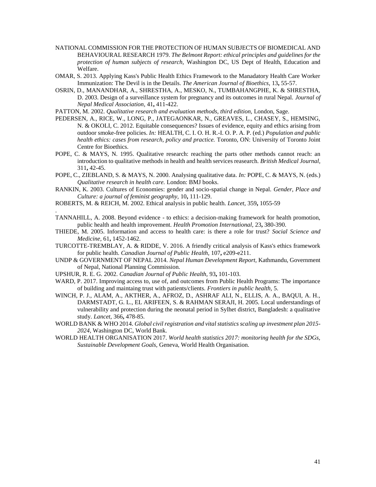- NATIONAL COMMISSION FOR THE PROTECTION OF HUMAN SUBJECTS OF BIOMEDICAL AND BEHAVIOURAL RESEARCH 1979. *The Belmont Report: ethical principles and guidelines for the protection of human subjects of research,* Washington DC, US Dept of Health, Education and Welfare.
- OMAR, S. 2013. Applying Kass's Public Health Ethics Framework to the Manadatory Health Care Worker Immunization: The Devil is in the Details. *The American Journal of Bioethics,* 13**,** 55-57.
- OSRIN, D., MANANDHAR, A., SHRESTHA, A., MESKO, N., TUMBAHANGPHE, K. & SHRESTHA, D. 2003. Design of a surveillance system for pregnancy and its outcomes in rural Nepal. *Journal of Nepal Medical Association,* 41**,** 411-422.
- PATTON, M. 2002. *Qualitative research and evaluation methods, third edition,* London, Sage.
- PEDERSEN, A., RICE, W., LONG, P., JATEGAONKAR, N., GREAVES, L., CHASEY, S., HEMSING, N. & OKOLI, C. 2012. Equitable consequences? Issues of evidence, equity and ethics arising from outdoor smoke-free policies. *In:* HEALTH, C. I. O. H. R.-I. O. P. A. P. (ed.) *Population and public health ethics: cases from research, policy and practice.* Toronto, ON: University of Toronto Joint Centre for Bioethics.
- POPE, C. & MAYS, N. 1995. Qualitative research: reaching the parts other methods cannot reach: an introduction to qualitative methods in health and health services reasearch. *British Medical Journal,* 311**,** 42-45.
- POPE, C., ZIEBLAND, S. & MAYS, N. 2000. Analysing qualitative data. *In:* POPE, C. & MAYS, N. (eds.) *Qualitative research in health care.* London: BMJ books.
- RANKIN, K. 2003. Cultures of Economies: gender and socio-spatial change in Nepal. *Gender, Place and Culture: a journal of feminist geography,* 10**,** 111-129.
- ROBERTS, M. & REICH, M. 2002. Ethical analysis in public health. *Lancet,* 359**,** 1055-59
- TANNAHILL, A. 2008. Beyond evidence to ethics: a decision-making framework for health promotion, public health and health improvement. *Health Promotion International,* 23**,** 380-390.
- THIEDE, M. 2005. Information and access to health care: is there a role for trust? *Social Science and Medicine,* 61**,** 1452-1462.
- TURCOTTE-TREMBLAY, A. & RIDDE, V. 2016. A friendly critical analysis of Kass's ethics framework for public health. *Canadian Journal of Public Health,* 107**,** e209-e211.
- UNDP & GOVERNMENT OF NEPAL 2014. *Nepal Human Development Report,* Kathmandu, Government of Nepal, National Planning Commission.
- UPSHUR, R. E. G. 2002. *Canadian Journal of Public Health,* 93**,** 101-103.

.

- WARD, P. 2017. Improving access to, use of, and outcomes from Public Health Programs: The importance of building and maintaing trust with patients/clients. *Frontiers in public health,* 5.
- WINCH, P. J., ALAM, A., AKTHER, A., AFROZ, D., ASHRAF ALI, N., ELLIS, A. A., BAQUI, A. H., DARMSTADT, G. L., EL ARIFEEN, S. & RAHMAN SERAJI, H. 2005. Local understandings of vulnerability and protection during the neonatal period in Sylhet district, Bangladesh: a qualitative study. *Lancet,* 366**,** 478-85.
- WORLD BANK & WHO 2014. *Global civil registration and vital statistics scaling up investment plan 2015- 2024,* Washington DC, World Bank.
- WORLD HEALTH ORGANISATION 2017. *World health statistics 2017: monitoring health for the SDGs, Sustainable Development Goals,* Geneva, World Health Organisation.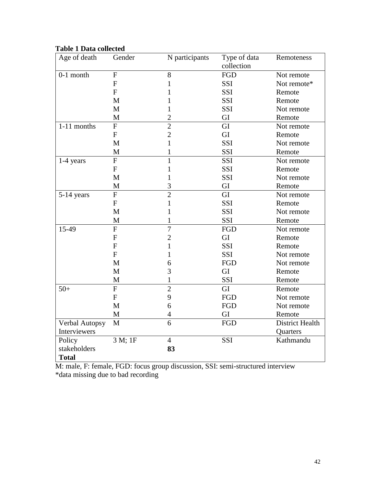# **Table 1 Data collected**

| Age of death   | Gender                  | N participants | Type of data | Remoteness      |
|----------------|-------------------------|----------------|--------------|-----------------|
|                |                         |                | collection   |                 |
| $0-1$ month    | $\mathbf{F}$            | 8              | FGD          | Not remote      |
|                | $\mathbf{F}$            | 1              | <b>SSI</b>   | Not remote*     |
|                | F                       | 1              | <b>SSI</b>   | Remote          |
|                | M                       | 1              | <b>SSI</b>   | Remote          |
|                | M                       | 1              | SSI          | Not remote      |
|                | M                       | $\overline{2}$ | GI           | Remote          |
| $1-11$ months  | $\overline{F}$          | $\overline{2}$ | GI           | Not remote      |
|                | $\mathbf F$             | $\overline{2}$ | GI           | Remote          |
|                | M                       | $\mathbf{1}$   | SSI          | Not remote      |
|                | M                       | 1              | SSI          | Remote          |
| $1-4$ years    | $\overline{\mathrm{F}}$ | $\overline{1}$ | SSI          | Not remote      |
|                | ${\bf F}$               | 1              | SSI          | Remote          |
|                | M                       | 1              | SSI          | Not remote      |
|                | $\mathbf M$             | 3              | GI           | Remote          |
| 5-14 years     | $\overline{F}$          | $\overline{2}$ | GI           | Not remote      |
|                | ${\bf F}$               | 1              | SSI          | Remote          |
|                | M                       | 1              | SSI          | Not remote      |
|                | $\mathbf M$             | $\mathbf{1}$   | SSI          | Remote          |
| 15-49          | $\overline{F}$          | $\overline{7}$ | FGD          | Not remote      |
|                | $\mathbf F$             | $\overline{2}$ | GI           | Remote          |
|                | $\mathbf F$             | $\mathbf{1}$   | SSI          | Remote          |
|                | ${\bf F}$               | 1              | SSI          | Not remote      |
|                | M                       | 6              | <b>FGD</b>   | Not remote      |
|                | M                       | 3              | GI           | Remote          |
|                | $\mathbf M$             | $\mathbf{1}$   | SSI          | Remote          |
| $50+$          | $\overline{F}$          | $\overline{2}$ | GI           | Remote          |
|                | $\mathbf F$             | 9              | <b>FGD</b>   | Not remote      |
|                | M                       | 6              | <b>FGD</b>   | Not remote      |
|                | M                       | $\overline{4}$ | GI           | Remote          |
| Verbal Autopsy | M                       | 6              | FGD          | District Health |
| Interviewers   |                         |                |              | Quarters        |
| Policy         | 3 M; 1F                 | $\overline{4}$ | SSI          | Kathmandu       |
| stakeholders   |                         | 83             |              |                 |
| <b>Total</b>   |                         |                |              |                 |

M: male, F: female, FGD: focus group discussion, SSI: semi-structured interview \*data missing due to bad recording